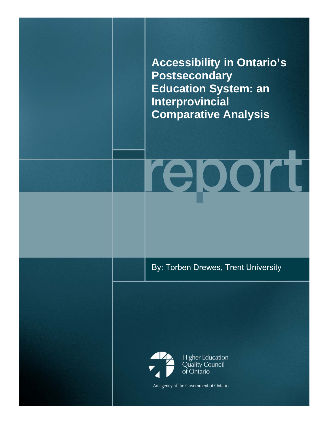**Accessibility in Ontario's Postsecondary Education System: an Interprovincial Comparative Analysis** 

report

By: Torben Drewes, Trent University

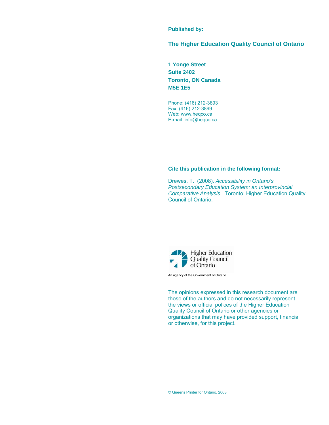### **Published by:**

### **The Higher Education Quality Council of Ontario**

**1 Yonge Street Suite 2402 Toronto, ON Canada M5E 1E5** 

Phone: (416) 212-3893 Fax: (416) 212-3899 Web: www.heqco.ca E-mail: info@heqco.ca

### **Cite this publication in the following format:**

Drewes, T. (2008). *Accessibility in Ontario's Postsecondary Education System: an Interprovincial Comparative Analysis*. Toronto: Higher Education Quality Council of Ontario.



An agency of the Government of Ontario

The opinions expressed in this research document are those of the authors and do not necessarily represent the views or official polices of the Higher Education Quality Council of Ontario or other agencies or organizations that may have provided support, financial or otherwise, for this project.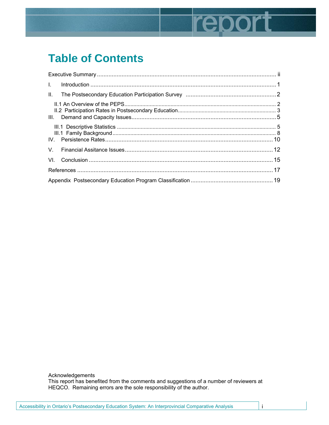# report

# **Table of Contents**

| $\mathbf{L}$ |  |
|--------------|--|
|              |  |
|              |  |
|              |  |
|              |  |
|              |  |
|              |  |
|              |  |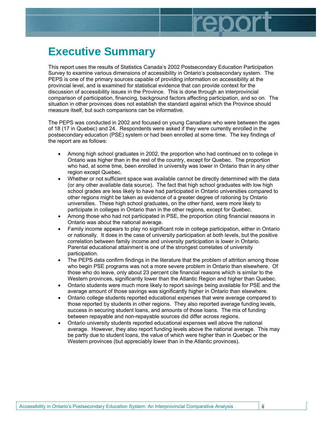# **Executive Summary**

This report uses the results of Statistics Canada's 2002 Postsecondary Education Participation Survey to examine various dimensions of accessibility in Ontario's postsecondary system. The PEPS is one of the primary sources capable of providing information on accessibility at the provincial level, and is examined for statistical evidence that can provide context for the discussion of accessibility issues in the Province. This is done through an interprovincial comparison of participation, financing, background factors affecting participation, and so on. The situation in other provinces does not establish the standard against which the Province should measure itself, but such comparisons can be informative.

epor

The PEPS was conducted in 2002 and focused on young Canadians who were between the ages of 18 (17 in Quebec) and 24. Respondents were asked if they were currently enrolled in the postsecondary education (PSE) system or had been enrolled at some time. The key findings of the report are as follows:

- Among high school graduates in 2002, the proportion who had continued on to college in Ontario was higher than in the rest of the country, except for Quebec. The proportion who had, at some time, been enrolled in university was lower in Ontario than in any other region except Quebec.
- Whether or not sufficient space was available cannot be directly determined with the data (or any other available data source). The fact that high school graduates with low high school grades are less likely to have had participated in Ontario universities compared to other regions might be taken as evidence of a greater degree of rationing by Ontario universities. These high school graduates, on the other hand, were more likely to participate in colleges in Ontario than in the other regions, except for Quebec.
- Among those who had not participated in PSE, the proportion citing financial reasons in Ontario was about the national average.
- Family income appears to play no significant role in college participation, either in Ontario or nationally. It does in the case of university participation at both levels, but the positive correlation between family income and university participation is lower in Ontario. Parental educational attainment is one of the strongest correlates of university participation.
- The PEPS data confirm findings in the literature that the problem of attrition among those who begin PSE programs was not a more severe problem in Ontario than elsewhere. Of those who do leave, only about 23 percent cite financial reasons which is similar to the Western provinces, significantly lower than the Atlantic Region and higher than Quebec.
- Ontario students were much more likely to report savings being available for PSE and the average amount of those savings was significantly higher in Ontario than elsewhere.
- Ontario college students reported educational expenses that were average compared to those reported by students in other regions. They also reported average funding levels, success in securing student loans, and amounts of those loans. The mix of funding between repayable and non-repayable sources did differ across regions.
- Ontario university students reported educational expenses well above the national average. However, they also report funding levels above the national average. This may be partly due to student loans, the value of which were higher than in Quebec or the Western provinces (but appreciably lower than in the Atlantic provinces).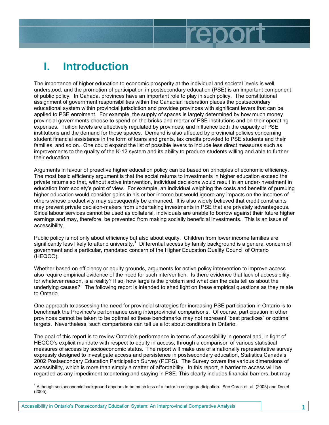# **I. Introduction**

The importance of higher education to economic prosperity at the individual and societal levels is well understood, and the promotion of participation in postsecondary education (PSE) is an important component of public policy. In Canada, provinces have an important role to play in such policy. The constitutional assignment of government responsibilities within the Canadian federation places the postsecondary educational system within provincial jurisdiction and provides provinces with significant levers that can be applied to PSE enrolment. For example, the supply of spaces is largely determined by how much money provincial governments choose to spend on the bricks and mortar of PSE institutions and on their operating expenses. Tuition levels are effectively regulated by provinces, and influence both the capacity of PSE institutions and the demand for those spaces. Demand is also affected by provincial policies concerning student financial assistance in the form of loans and grants, tax credits provided to PSE students and their families, and so on. One could expand the list of possible levers to include less direct measures such as improvements to the quality of the K-12 system and its ability to produce students willing and able to further their education.

report

Arguments in favour of proactive higher education policy can be based on principles of economic efficiency. The most basic efficiency argument is that the social returns to investments in higher education exceed the private returns so that, without active intervention, individual decisions would result in an under-investment in education from society's point of view. For example, an individual weighing the costs and benefits of pursuing higher education would consider gains in his or her income but would ignore any impacts on the incomes of others whose productivity may subsequently be enhanced. It is also widely believed that credit constraints may prevent private decision-makers from undertaking investments in PSE that are privately advantageous. Since labour services cannot be used as collateral, individuals are unable to borrow against their future higher earnings and may, therefore, be prevented from making socially beneficial investments. This is an issue of accessibility.

Public policy is not only about efficiency but also about equity. Children from lower income families are significantly less likely to attend university.<sup>1</sup> Differential access by family background is a general concern of government and a particular, mandated concern of the Higher Education Quality Council of Ontario (HEQCO).

Whether based on efficiency or equity grounds, arguments for active policy intervention to improve access also require empirical evidence of the need for such intervention. Is there evidence that lack of accessibility, for whatever reason, is a reality? If so, how large is the problem and what can the data tell us about the underlying causes? The following report is intended to shed light on these empirical questions as they relate to Ontario.

One approach to assessing the need for provincial strategies for increasing PSE participation in Ontario is to benchmark the Province's performance using interprovincial comparisons. Of course, participation in other provinces cannot be taken to be optimal so these benchmarks may not represent "best practices" or optimal targets. Nevertheless, such comparisons can tell us a lot about conditions in Ontario.

The goal of this report is to review Ontario's performance in terms of accessibility in general and, in light of HEQCO's explicit mandate with respect to equity in access, through a comparison of various statistical measures of access by socioeconomic status. The report will make use of a nationally representative survey expressly designed to investigate access and persistence in postsecondary education, Statistics Canada's 2002 Postsecondary Education Participation Survey (PEPS). The Survey covers the various dimensions of accessibility, which is more than simply a matter of affordability. In this report, a barrier to access will be regarded as any impediment to entering and staying in PSE. This clearly includes financial barriers, but may

 1 Although socioeconomic background appears to be much less of a factor in college participation. See Corak et. al. (2003) and Drolet (2005).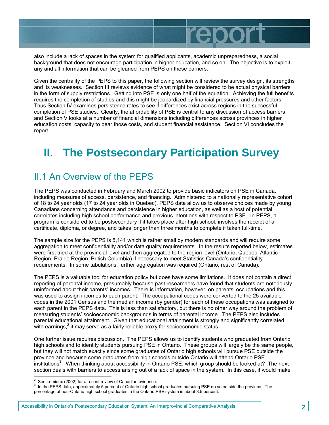

also include a lack of spaces in the system for qualified applicants, academic unpreparedness, a social background that does not encourage participation in higher education, and so on. The objective is to exploit any and all information that can be gleaned from PEPS on these barriers.

Given the centrality of the PEPS to this paper, the following section will review the survey design, its strengths and its weaknesses. Section III reviews evidence of what might be considered to be actual physical barriers in the form of supply restrictions. Getting into PSE is only one half of the equation. Achieving the full benefits requires the completion of studies and this might be jeopardized by financial pressures and other factors. Thus Section IV examines persistence rates to see if differences exist across regions in the successful completion of PSE studies. Clearly, the affordability of PSE is central to any discussion of access barriers and Section V looks at a number of financial dimensions including differences across provinces in higher education costs, capacity to bear those costs, and student financial assistance. Section VI concludes the report.

# **II. The Postsecondary Participation Survey**

### II.1 An Overview of the PEPS

The PEPS was conducted in February and March 2002 to provide basic indicators on PSE in Canada, including measures of access, persistence, and financing. Administered to a nationally representative cohort of 18 to 24 year olds (17 to 24 year olds in Quebec), PEPS data allow us to observe choices made by young Canadians concerning attendance and persistence in higher education, as well as a host of potential correlates including high school performance and previous intentions with respect to PSE. In PEPS, a program is considered to be postsecondary if it takes place after high school, involves the receipt of a certificate, diploma, or degree, and takes longer than three months to complete if taken full-time.

The sample size for the PEPS is 5,141 which is rather small by modern standards and will require some aggregation to meet confidentiality and/or data quality requirements. In the results reported below, estimates were first tried at the provincial level and then aggregated to the region level (Ontario, Quebec, Atlantic Region, Prairie Region, British Columbia) if necessary to meet Statistics Canada's confidentiality requirements. In some tabulations, further aggregation was required (Ontario, rest of Canada).

The PEPS is a valuable tool for education policy but does have some limitations. It does not contain a direct reporting of parental income, presumably because past researchers have found that students are notoriously uninformed about their parents' incomes. There is information, however, on parents' occupations and this was used to assign incomes to each parent. The occupational codes were converted to the 25 available codes in the 2001 Census and the median income (by gender) for each of these occupations was assigned to each parent in the PEPS data. This is less than satisfactory, but there is no other way around the problem of measuring students' socioeconomic backgrounds in terms of parental income. The PEPS also includes parental educational attainment. Given that educational attainment is strongly and significantly correlated with earnings,<sup>2</sup> it may serve as a fairly reliable proxy for socioeconomic status.

One further issue requires discussion. The PEPS allows us to identify students who graduated from Ontario high schools and to identify students pursuing PSE in Ontario. These groups will largely be the same people, but they will not match exactly since some graduates of Ontario high schools will pursue PSE outside the province and because some graduates from high schools outside Ontario will attend Ontario PSE institutions<sup>3</sup>. When thinking about accessibility in Ontario PSE, which group should be looked at? The next section deals with barriers to access arising out of a lack of space in the system. In this case, it would make

 $\frac{1}{2}$ See Lemieux (2002) for a recent review of Canadian evidence.

<sup>&</sup>lt;sup>3</sup> In the PEPS data, approximately 5 percent of Ontario high school graduates pursuing PSE do so outside the province. The percentage of non-Ontario high school graduates in the Ontario PSE system is about 3.5 percent.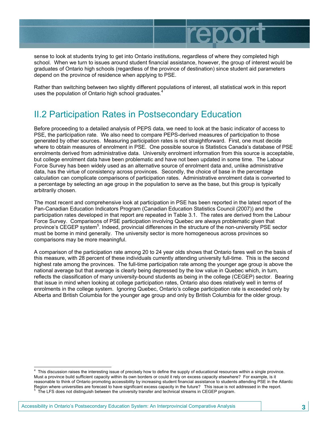sense to look at students trying to get into Ontario institutions, regardless of where they completed high school. When we turn to issues around student financial assistance, however, the group of interest would be graduates of Ontario high schools (regardless of the province of destination) since student aid parameters depend on the province of residence when applying to PSE.

repo

Rather than switching between two slightly different populations of interest, all statistical work in this report uses the population of Ontario high school graduates.<sup>4</sup>

### II.2 Participation Rates in Postsecondary Education

Before proceeding to a detailed analysis of PEPS data, we need to look at the basic indicator of access to PSE, the participation rate. We also need to compare PEPS-derived measures of participation to those generated by other sources. Measuring participation rates is not straightforward. First, one must decide where to obtain measures of enrolment in PSE. One possible source is Statistics Canada's database of PSE enrolments derived from administrative data. University enrolment information from this source is acceptable, but college enrolment data have been problematic and have not been updated in some time. The Labour Force Survey has been widely used as an alternative source of enrolment data and, unlike administrative data, has the virtue of consistency across provinces. Secondly, the choice of base in the percentage calculation can complicate comparisons of participation rates. Administrative enrolment data is converted to a percentage by selecting an age group in the population to serve as the base, but this group is typically arbitrarily chosen.

The most recent and comprehensive look at participation in PSE has been reported in the latest report of the Pan-Canadian Education Indicators Program (Canadian Education Statistics Council (2007)) and the participation rates developed in that report are repeated in Table 3.1. The rates are derived from the Labour Force Survey. Comparisons of PSE participation involving Quebec are always problematic given that province's CEGEP system<sup>5</sup>. Indeed, provincial differences in the structure of the non-university PSE sector must be borne in mind generally. The university sector is more homogeneous across provinces so comparisons may be more meaningful.

A comparison of the participation rate among 20 to 24 year olds shows that Ontario fares well on the basis of this measure, with 28 percent of these individuals currently attending university full-time. This is the second highest rate among the provinces. The full-time participation rate among the younger age group is above the national average but that average is clearly being depressed by the low value in Quebec which, in turn, reflects the classification of many university-bound students as being in the college (CEGEP) sector. Bearing that issue in mind when looking at college participation rates, Ontario also does relatively well in terms of enrolments in the college system. Ignoring Quebec, Ontario's college participation rate is exceeded only by Alberta and British Columbia for the younger age group and only by British Columbia for the older group.

-

<sup>4</sup> This discussion raises the interesting issue of precisely how to define the supply of educational resources within a single province. Must a province build sufficient capacity within its own borders or could it rely on excess capacity elsewhere? For example, is it reasonable to think of Ontario promoting accessibility by increasing student financial assistance to students attending PSE in the Atlantic Region where universities are forecast to have significant excess capacity in the future? This issue is not addressed in the report. The LFS does not distinguish between the university transfer and technical streams in CEGEP program.

Accessibility in Ontario's Postsecondary Education System: An Interprovincial Comparative Analysis **3**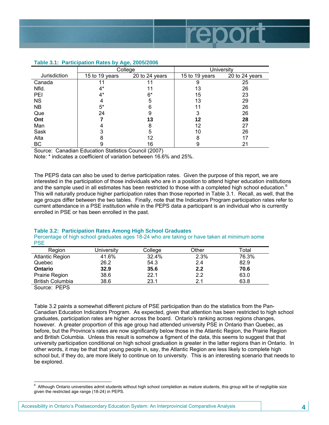

|              | College        |                |                | <b>University</b> |
|--------------|----------------|----------------|----------------|-------------------|
| Jurisdiction | 15 to 19 years | 20 to 24 years | 15 to 19 years | 20 to 24 years    |
| Canada       |                |                | 9              | 25                |
| Nfld.        | 4*             |                | 13             | 26                |
| <b>PEI</b>   | 4*             | 6*             | 15             | 23                |
| <b>NS</b>    |                | 5              | 13             | 29                |
| <b>NB</b>    | $5^*$          | 6              |                | 26                |
| Que          | 24             | 9              | 3              | 26                |
| Ont          |                | 13             | 12             | 28                |
| Man          |                | 8              | 12             | 27                |
| Sask         |                | 5              | 10             | 26                |
| Alta         |                | 12             | 8              |                   |
| BC           | 9              | 16             | 9              | 21                |

### **Table 3.1: Participation Rates by Age, 2005/2006**

Source: Canadian Education Statistics Council (2007)

Note: \* indicates a coefficient of variation between 16.6% and 25%.

The PEPS data can also be used to derive participation rates. Given the purpose of this report, we are interested in the participation of those individuals who are in a position to attend higher education institutions and the sample used in all estimates has been restricted to those with a completed high school education.<sup>6</sup> This will naturally produce higher participation rates than those reported in Table 3.1. Recall, as well, that the age groups differ between the two tables. Finally, note that the Indicators Program participation rates refer to current attendance in a PSE institution while in the PEPS data a participant is an individual who is currently enrolled in PSE or has been enrolled in the past.

### **Table 3.2: Participation Rates Among High School Graduates**

Percentage of high school graduates ages 18-24 who are taking or have taken at minimum some **PSE** 

| Region                  | University | College | Other | Total |
|-------------------------|------------|---------|-------|-------|
| <b>Atlantic Region</b>  | 41.6%      | 32.4%   | 2.3%  | 76.3% |
| Quebec                  | 26.2       | 54.3    | 2.4   | 82.9  |
| Ontario                 | 32.9       | 35.6    | 2.2   | 70.6  |
| Prairie Region          | 38.6       | 22.1    | 2.2   | 63.0  |
| <b>British Columbia</b> | 38.6       | 23.1    | 2.1   | 63.8  |
| $\sim$ $\sim$ $\sim$    |            |         |       |       |

Source: PEPS

Table 3.2 paints a somewhat different picture of PSE participation than do the statistics from the Pan-Canadian Education Indicators Program. As expected, given that attention has been restricted to high school graduates, participation rates are higher across the board. Ontario's ranking across regions changes, however. A greater proportion of this age group had attended university PSE in Ontario than Quebec, as before, but the Province's rates are now significantly below those in the Atlantic Region, the Prairie Region and British Columbia. Unless this result is somehow a figment of the data, this seems to suggest that that university participation conditional on high school graduation is greater in the latter regions than in Ontario. In other words, it may be that that young people in, say, the Atlantic Region are less likely to complete high school but, if they do, are more likely to continue on to university. This is an interesting scenario that needs to be explored.

 6 Although Ontario universities admit students without high school completion as mature students, this group will be of negligible size given the restricted age range (18-24) in PEPS.

Accessibility in Ontario's Postsecondary Education System: An Interprovincial Comparative Analysis **4**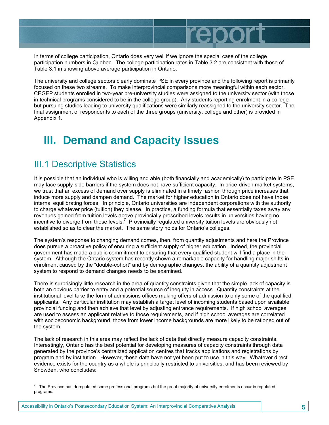repo

In terms of college participation, Ontario does very well if we ignore the special case of the college participation numbers in Quebec. The college participation rates in Table 3.2 are consistent with those of Table 3.1 in showing above average participation in Ontario.

The university and college sectors clearly dominate PSE in every province and the following report is primarily focused on these two streams. To make interprovincial comparisons more meaningful within each sector, CEGEP students enrolled in two-year pre-university studies were assigned to the university sector (with those in technical programs considered to be in the college group). Any students reporting enrolment in a college but pursuing studies leading to university qualifications were similarly reassigned to the university sector. The final assignment of respondents to each of the three groups (university, college and other) is provided in Appendix 1.

# **III. Demand and Capacity Issues**

### III.1 Descriptive Statistics

It is possible that an individual who is willing and able (both financially and academically) to participate in PSE may face supply-side barriers if the system does not have sufficient capacity. In price-driven market systems, we trust that an excess of demand over supply is eliminated in a timely fashion through price increases that induce more supply and dampen demand. The market for higher education in Ontario does not have those internal equilibrating forces. In principle, Ontario universities are independent corporations with the authority to charge whatever price (tuition) they please. In practice, a funding formula that essentially taxes away any revenues gained from tuition levels above provincially proscribed levels results in universities having no incentive to diverge from those levels.<sup>7</sup> Provincially regulated university tuition levels are obviously not established so as to clear the market. The same story holds for Ontario's colleges.

The system's response to changing demand comes, then, from quantity adjustments and here the Province does pursue a proactive policy of ensuring a sufficient supply of higher education. Indeed, the provincial government has made a public commitment to ensuring that every qualified student will find a place in the system. Although the Ontario system has recently shown a remarkable capacity for handling major shifts in enrolment caused by the "double-cohort" and by demographic changes, the ability of a quantity adjustment system to respond to demand changes needs to be examined.

There is surprisingly little research in the area of quantity constraints given that the simple lack of capacity is both an obvious barrier to entry and a potential source of inequity in access. Quantity constraints at the institutional level take the form of admissions offices making offers of admission to only some of the qualified applicants. Any particular institution may establish a target level of incoming students based upon available provincial funding and then achieve that level by adjusting entrance requirements. If high school averages are used to assess an applicant relative to those requirements, and if high school averages are correlated with socioeconomic background, those from lower income backgrounds are more likely to be rationed out of the system.

The lack of research in this area may reflect the lack of data that directly measure capacity constraints. Interestingly, Ontario has the best potential for developing measures of capacity constraints through data generated by the province's centralized application centres that tracks applications and registrations by program and by institution. However, these data have not yet been put to use in this way. Whatever direct evidence exists for the country as a whole is principally restricted to universities, and has been reviewed by Snowden, who concludes:

The Province has deregulated some professional programs but the great majority of university enrolments occur in regulated<br>The Province has deregulated some professional programs but the great majority of university enrolm programs.

Accessibility in Ontario's Postsecondary Education System: An Interprovincial Comparative Analysis **5**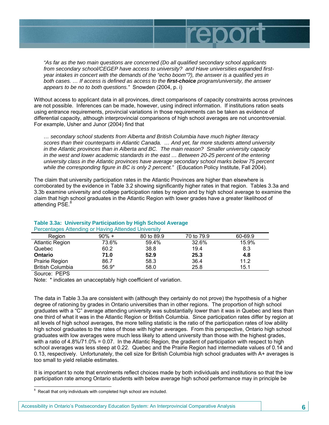

*"As far as the two main questions are concerned (Do all qualified secondary school applicants from secondary school/CEGEP have access to university? and Have universities expanded firstyear intakes in concert with the demands of the "echo boom"?), the answer is a qualified yes in both cases. … If access is defined as access to the first-choice program/university, the answer appears to be no to both questions."* Snowden (2004, p. i)

Without access to applicant data in all provinces, direct comparisons of capacity constraints across provinces are not possible. Inferences can be made, however, using indirect information. If institutions ration seats using entrance requirements, provincial variations in those requirements can be taken as evidence of differential capacity, although interprovincial comparisons of high school averages are not uncontroversial. For example, Usher and Junor (2004) find that

*… secondary school students from Alberta and British Columbia have much higher literacy scores than their counterparts in Atlantic Canada. … And yet, far more students attend university in the Atlantic provinces than in Alberta and BC. The main reason? Smaller university capacity in the west and lower academic standards in the east … Between 20-25 percent of the entering university class in the Atlantic provinces have average secondary school marks below 75 percent while the corresponding figure in BC is only 2 percent."* (Education Policy Institute, Fall 2004).

The claim that university participation rates in the Atlantic Provinces are higher than elsewhere is corroborated by the evidence in Table 3.2 showing significantly higher rates in that region. Tables 3.3a and 3.3b examine university and college participation rates by region and by high school average to examine the claim that high school graduates in the Atlantic Region with lower grades have a greater likelihood of attending PSE.<sup>8</sup>

| <b>1 Crocinaged / Memanig of Flaving / Memaca Omiverony</b> |          |            |            |         |
|-------------------------------------------------------------|----------|------------|------------|---------|
| Region                                                      | $90\% +$ | 80 to 89.9 | 70 to 79.9 | 60-69.9 |
| <b>Atlantic Region</b>                                      | 73.6%    | 59.4%      | 32.6%      | 15.9%   |
| Quebec                                                      | 60.2     | 38.8       | 19.4       | 8.3     |
| <b>Ontario</b>                                              | 71.0     | 52.9       | 25.3       | 4.8     |
| Prairie Region                                              | 86.7     | 58.3       | 36.4       | 11.2    |
| <b>British Columbia</b>                                     | $56.9*$  | 58.0       | 25.8       | 15.1    |

### **Table 3.3a: University Participation by High School Average**  Percentages Attending or Having Attended University

Source: PEPS

Note: \* indicates an unacceptably high coefficient of variation.

The data in Table 3.3a are consistent with (although they certainly do not prove) the hypothesis of a higher degree of rationing by grades in Ontario universities than in other regions. The proportion of high school graduates with a "C" average attending university was substantially lower than it was in Quebec and less than one third of what it was in the Atlantic Region or British Columbia. Since participation rates differ by region at all levels of high school averages, the more telling statistic is the ratio of the participation rates of low ability high school graduates to the rates of those with higher averages. From this perspective, Ontario high school graduates with low averages were much less likely to attend university than those with the highest grades, with a ratio of 4.8%/71.0% = 0.07. In the Atlantic Region, the gradient of participation with respect to high school averages was less steep at 0.22. Quebec and the Prairie Region had intermediate values of 0.14 and 0.13, respectively. Unfortunately, the cell size for British Columbia high school graduates with A+ averages is too small to yield reliable estimates.

It is important to note that enrolments reflect choices made by both individuals and institutions so that the low participation rate among Ontario students with below average high school performance may in principle be

 8 Recall that only individuals with completed high school are included.

Accessibility in Ontario's Postsecondary Education System: An Interprovincial Comparative Analysis **6**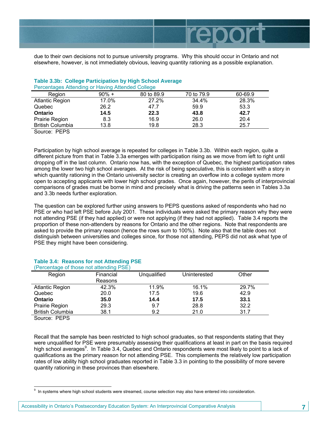

due to their own decisions not to pursue university programs. Why this should occur in Ontario and not elsewhere, however, is not immediately obvious, leaving quantity rationing as a possible explanation.

| <b>T creditages Attenuing or Having Attenued Oblicge</b> |          |            |            |         |
|----------------------------------------------------------|----------|------------|------------|---------|
| <b>Region</b>                                            | $90\% +$ | 80 to 89.9 | 70 to 79.9 | 60-69.9 |
| <b>Atlantic Region</b>                                   | 17.0%    | 27.2%      | 34.4%      | 28.3%   |
| Quebec                                                   | 26.2     | 47.7       | 59.9       | 53.3    |
| <b>Ontario</b>                                           | 14.5     | 22.3       | 43.8       | 42.7    |
| Prairie Region                                           | 8.3      | 16.9       | 26.0       | 20.4    |
| <b>British Columbia</b>                                  | 13.8     | 19.8       | 28.3       | 25.7    |
|                                                          |          |            |            |         |

### **Table 3.3b: College Participation by High School Average**  Percentages Attending or Having Attended College

Source: PEPS

Participation by high school average is repeated for colleges in Table 3.3b. Within each region, quite a different picture from that in Table 3.3a emerges with participation rising as we move from left to right until dropping off in the last column. Ontario now has, with the exception of Quebec, the highest participation rates among the lower two high school averages. At the risk of being speculative, this is consistent with a story in which quantity rationing in the Ontario university sector is creating an overflow into a college system more open to accepting applicants with lower high school grades. Once again, however, the perils of interprovincial comparisons of grades must be borne in mind and precisely what is driving the patterns seen in Tables 3.3a and 3.3b needs further exploration.

The question can be explored further using answers to PEPS questions asked of respondents who had no PSE or who had left PSE before July 2001. These individuals were asked the primary reason why they were not attending PSE (if they had applied) or were not applying (if they had not applied). Table 3.4 reports the proportion of these non-attenders by reasons for Ontario and the other regions. Note that respondents are asked to provide the primary reason (hence the rows sum to 100%). Note also that the table does not distinguish between universities and colleges since, for those not attending, PEPS did not ask what type of PSE they might have been considering.

|                         | (Percentage of those not attending PSE) |             |              |       |
|-------------------------|-----------------------------------------|-------------|--------------|-------|
| Region                  | Financial                               | Unqualified | Uninterested | Other |
|                         | Reasons                                 |             |              |       |
| <b>Atlantic Region</b>  | 42.3%                                   | 11.9%       | 16.1%        | 29.7% |
| Quebec                  | 20.0                                    | 17.5        | 19.6         | 42.9  |
| Ontario                 | 35.0                                    | 14.4        | 17.5         | 33.1  |
| Prairie Region          | 29.3                                    | 9.7         | 28.8         | 32.2  |
| <b>British Columbia</b> | 38.1                                    | 9.2         | 21.0         | 31.7  |

### **Table 3.4: Reasons for not Attending PSE**

Source: PEPS

Recall that the sample has been restricted to high school graduates, so that respondents stating that they were unqualified for PSE were presumably assessing their qualifications at least in part on the basis required high school averages<sup>9</sup>. In Table 3.4, Quebec and Ontario respondents were most likely to point to a lack of qualifications as the primary reason for not attending PSE. This complements the relatively low participation rates of low ability high school graduates reported in Table 3.3 in pointing to the possibility of more severe quantity rationing in these provinces than elsewhere.

 9 In systems where high school students were streamed, course selection may also have entered into consideration.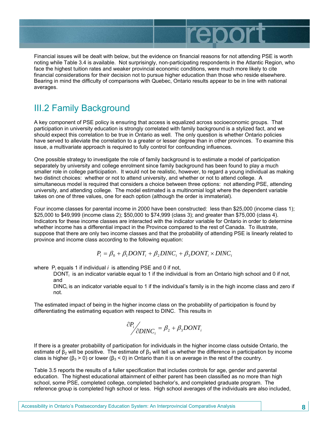

Financial issues will be dealt with below, but the evidence on financial reasons for not attending PSE is worth noting while Table 3.4 is available. Not surprisingly, non-participating respondents in the Atlantic Region, who face the highest tuition rates and weaker provincial economic conditions, were much more likely to cite financial considerations for their decision not to pursue higher education than those who reside elsewhere. Bearing in mind the difficulty of comparisons with Quebec, Ontario results appear to be in line with national averages.

### III.2 Family Background

A key component of PSE policy is ensuring that access is equalized across socioeconomic groups. That participation in university education is strongly correlated with family background is a stylized fact, and we should expect this correlation to be true in Ontario as well. The only question is whether Ontario policies have served to alleviate the correlation to a greater or lesser degree than in other provinces. To examine this issue, a multivariate approach is required to fully control for confounding influences.

One possible strategy to investigate the role of family background is to estimate a model of participation separately by university and college enrolment since family background has been found to play a much smaller role in college participation. It would not be realistic, however, to regard a young individual as making two distinct choices: whether or not to attend university, and whether or not to attend college. A simultaneous model is required that considers a choice between three options: not attending PSE, attending university, and attending college. The model estimated is a multinomial logit where the dependent variable takes on one of three values, one for each option (although the order is immaterial).

Four income classes for parental income in 2000 have been constructed: less than \$25,000 (income class 1); \$25,000 to \$49,999 (income class 2); \$50,000 to \$74,999 (class 3); and greater than \$75,000 (class 4). Indicators for these income classes are interacted with the indicator variable for Ontario in order to determine whether income has a differential impact in the Province compared to the rest of Canada. To illustrate, suppose that there are only two income classes and that the probability of attending PSE is linearly related to province and income class according to the following equation:

$$
P_i = \beta_0 + \beta_1 DONT_i + \beta_2 DINC_i + \beta_3 DONT_i \times DINC_i
$$

where P<sub>i</sub> equals 1 if individual *i* is attending PSE and 0 if not,

DONT<sub>i</sub> is an indicator variable equal to 1 if the individual is from an Ontario high school and 0 if not, and

 $DINC_i$  is an indicator variable equal to 1 if the individual's family is in the high income class and zero if not.

The estimated impact of being in the higher income class on the probability of participation is found by differentiating the estimating equation with respect to DINC. This results in

$$
\frac{\partial P_i}{\partial DINC_i} = \beta_2 + \beta_3 DONT_i
$$

If there is a greater probability of participation for individuals in the higher income class outside Ontario, the estimate of  $\beta_2$  will be positive. The estimate of  $\beta_3$  will tell us whether the difference in participation by income class is higher ( $\beta_3$  > 0) or lower ( $\beta_3$  < 0) in Ontario than it is on average in the rest of the country.

Table 3.5 reports the results of a fuller specification that includes controls for age, gender and parental education. The highest educational attainment of either parent has been classified as no more than high school, some PSE, completed college, completed bachelor's, and completed graduate program. The reference group is completed high school or less. High school averages of the individuals are also included,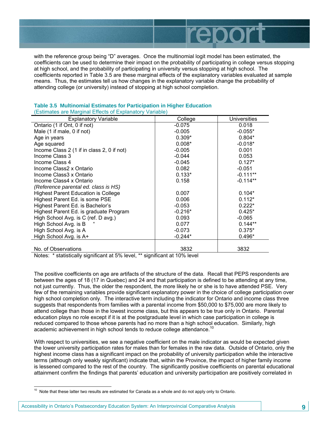

with the reference group being "D" averages. Once the multinomial logit model has been estimated, the coefficients can be used to determine their impact on the probability of participating in college versus stopping at high school, and the probability of participating in university versus stopping at high school. The coefficients reported in Table 3.5 are these marginal effects of the explanatory variables evaluated at sample means. Thus, the estimates tell us how changes in the explanatory variable change the probability of attending college (or university) instead of stopping at high school completion.

| <b>Explanatory Variable</b>                | College   | Universities |
|--------------------------------------------|-----------|--------------|
| Ontario (1 if Ont, 0 if not)               | $-0.075$  | 0.018        |
| Male (1 if male, 0 if not)                 | $-0.005$  | $-0.055*$    |
| Age in years                               | $0.309*$  | $0.804*$     |
| Age squared                                | $0.008*$  | $-0.018*$    |
| Income Class 2 (1 if in class 2, 0 if not) | $-0.005$  | 0.001        |
| Income Class 3                             | $-0.044$  | 0.053        |
| Income Class 4                             | $-0.045$  | $0.127*$     |
| Income Class2 x Ontario                    | 0.082     | $-0.051$     |
| Income Class3 x Ontario                    | $0.133*$  | $-0.111**$   |
| Income Class4 x Ontario                    | 0.158     | $-0.114**$   |
| (Reference parental ed. class is HS)       |           |              |
| <b>Highest Parent Education is College</b> | 0.007     | $0.104*$     |
| Highest Parent Ed. is some PSE             | 0.006     | $0.112*$     |
| Highest Parent Ed. is Bachelor's           | $-0.053$  | $0.222*$     |
| Highest Parent Ed. is graduate Program     | $-0.216*$ | $0.425*$     |
| High School Avg. is C (ref. D avg.)        | 0.093     | $-0.065$     |
| High School Avg. is B                      | 0.077     | $0.144**$    |
| High School Avg. is A                      | $-0.073$  | $0.375*$     |
| High School Avg. is A+                     | $-0.244*$ | $0.496*$     |
|                                            |           |              |
| No. of Observations                        | 3832      | 3832         |

### **Table 3.5 Multinomial Estimates for Participation in Higher Education**  (Estimates are Marginal Effects of Explanatory Variable)

Notes: \* statistically significant at 5% level, \*\* significant at 10% level

The positive coefficients on age are artifacts of the structure of the data. Recall that PEPS respondents are between the ages of 18 (17 in Quebec) and 24 and that participation is defined to be attending at any time, not just currently. Thus, the older the respondent, the more likely he or she is to have attended PSE. Very few of the remaining variables provide significant explanatory power in the choice of college participation over high school completion only. The interactive term including the indicator for Ontario and income class three suggests that respondents from families with a parental income from \$50,000 to \$75,000 are more likely to attend college than those in the lowest income class, but this appears to be true only in Ontario. Parental education plays no role except if it is at the postgraduate level in which case participation in college is reduced compared to those whose parents had no more than a high school education. Similarly, high academic achievement in high school tends to reduce college attendance.<sup>10</sup>

With respect to universities, we see a negative coefficient on the male indicator as would be expected given the lower university participation rates for males than for females in the raw data. Outside of Ontario, only the highest income class has a significant impact on the probability of university participation while the interactive terms (although only weakly significant) indicate that, within the Province, the impact of higher family income is lessened compared to the rest of the country. The significantly positive coefficients on parental educational attainment confirm the findings that parents' education and university participation are positively correlated in

Accessibility in Ontario's Postsecondary Education System: An Interprovincial Comparative Analysis **9**

-

 $10$  Note that these latter two results are estimated for Canada as a whole and do not apply only to Ontario.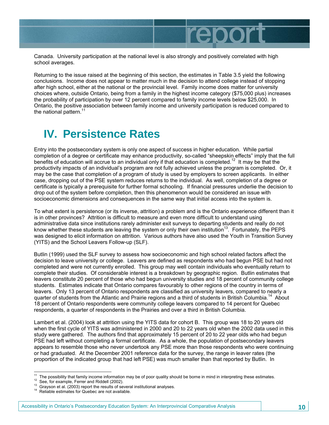Canada. University participation at the national level is also strongly and positively correlated with high

repol

Returning to the issue raised at the beginning of this section, the estimates in Table 3.5 yield the following conclusions. Income does not appear to matter much in the decision to attend college instead of stopping after high school, either at the national or the provincial level. Family income does matter for university choices where, outside Ontario, being from a family in the highest income category (\$75,000 plus) increases the probability of participation by over 12 percent compared to family income levels below \$25,000. In Ontario, the positive association between family income and university participation is reduced compared to the national pattern. $11$ 

# **IV. Persistence Rates**

school averages.

Entry into the postsecondary system is only one aspect of success in higher education. While partial completion of a degree or certificate may enhance productivity, so-called "sheepskin effects" imply that the full benefits of education will accrue to an individual only if that education is completed.12 It may be that the productivity impacts of an individual's program are not fully achieved unless the program is completed. Or, it may be the case that completion of a program of study is used by employers to screen applicants. In either case, dropping out of the PSE system reduces returns to the individual. As well, completion of a degree or certificate is typically a prerequisite for further formal schooling. If financial pressures underlie the decision to drop out of the system before completion, then this phenomenon would be considered an issue with socioeconomic dimensions and consequences in the same way that initial access into the system is.

To what extent is persistence (or its inverse, attrition) a problem and is the Ontario experience different than it is in other provinces? Attrition is difficult to measure and even more difficult to understand using administrative data since institutions rarely administer exit surveys to departing students and really do not know whether these students are leaving the system or only their own institution<sup>13</sup>. Fortunately, the PEPS was designed to elicit information on attrition. Various authors have also used the Youth in Transition Survey (YITS) and the School Leavers Follow-up (SLF).

Butlin (1999) used the SLF survey to assess how socioeconomic and high school related factors affect the decision to leave university or college. Leavers are defined as respondents who had begun PSE but had not completed and were not currently enrolled. This group may well contain individuals who eventually return to complete their studies. Of considerable interest is a breakdown by geographic region. Butlin estimates that leavers constitute 20 percent of those who had begun university studies and 18 percent of community college students. Estimates indicate that Ontario compares favourably to other regions of the country in terms of leavers. Only 13 percent of Ontario respondents are classified as university leavers, compared to nearly a quarter of students from the Atlantic and Prairie regions and a third of students in British Columbia.<sup>14</sup> About 18 percent of Ontario respondents were community college leavers compared to 14 percent for Quebec respondents, a quarter of respondents in the Prairies and over a third in British Columbia.

Lambert et al. (2004) look at attrition using the YITS data for cohort B. This group was 18 to 20 years old when the first cycle of YITS was administered in 2000 and 20 to 22 years old when the 2002 data used in this study were gathered. The authors find that approximately 15 percent of 20 to 22 year olds who had begun PSE had left without completing a formal certificate. As a whole, the population of postsecondary leavers appears to resemble those who never undertook any PSE more than those respondents who were continuing or had graduated. At the December 2001 reference data for the survey, the range in leaver rates (the proportion of the indicated group that had left PSE) was much smaller than that reported by Butlin. In

1

<sup>&</sup>lt;sup>11</sup> The possibility that family income information may be of poor quality should be borne in mind in interpreting these estimates.<br><sup>12</sup> See, for example, Ferrer and Riddell (2002).<br><sup>13</sup> Grayson et al. (2003) report the r

Accessibility in Ontario's Postsecondary Education System: An Interprovincial Comparative Analysis **10**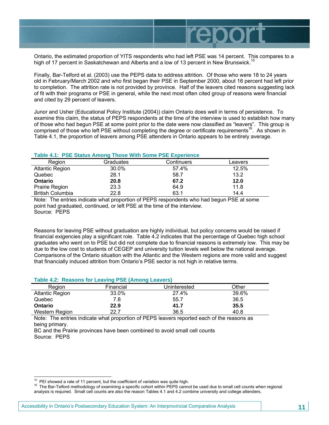

Ontario, the estimated proportion of YITS respondents who had left PSE was 14 percent. This compares to a high of 17 percent in Saskatchewan and Alberta and a low of 13 percent in New Brunswick.<sup>19</sup>

Finally, Bar-Telford et al. (2003) use the PEPS data to address attrition. Of those who were 18 to 24 years old in February/March 2002 and who first began their PSE in September 2000, about 16 percent had left prior to completion. The attrition rate is not provided by province. Half of the leavers cited reasons suggesting lack of fit with their programs or PSE in general, while the next most often cited group of reasons were financial and cited by 29 percent of leavers.

Junor and Usher (Educational Policy Institute (2004)) claim Ontario does well in terms of persistence. To examine this claim, the status of PEPS respondents at the time of the interview is used to establish how many of those who had begun PSE at some point prior to the date were now classified as "leavers". This group is comprised of those who left PSE without completing the degree or certificate requirements<sup>16</sup>. As shown in Table 4.1, the proportion of leavers among PSE attenders in Ontario appears to be entirely average.

### **Table 4.1: PSE Status Among Those With Some PSE Experience**

| Region                  | Graduates | Continuers | Leavers |
|-------------------------|-----------|------------|---------|
| <b>Atlantic Region</b>  | 30.0%     | 57.4%      | 12.5%   |
| Quebec                  | 28.1      | 58.7       | 13.2    |
| Ontario                 | 20.8      | 67.2       | 12.0    |
| Prairie Region          | 23.3      | 64.9       | 11.8    |
| <b>British Columbia</b> | 22.8      | 63.1       | 14.4    |

Note: The entries indicate what proportion of PEPS respondents who had begun PSE at some point had graduated, continued, or left PSE at the time of the interview. Source: PEPS

Reasons for leaving PSE without graduation are highly individual, but policy concerns would be raised if financial exigencies play a significant role. Table 4.2 indicates that the percentage of Quebec high school graduates who went on to PSE but did not complete due to financial reasons is extremely low. This may be due to the low cost to students of CEGEP and university tuition levels well below the national average. Comparisons of the Ontario situation with the Atlantic and the Western regions are more valid and suggest that financially induced attrition from Ontario's PSE sector is not high in relative terms.

### **Table 4.2: Reasons for Leaving PSE (Among Leavers)**

| Reaion                 | Financial | Uninterested | Other |
|------------------------|-----------|--------------|-------|
| <b>Atlantic Region</b> | 33.0%     | 27.4%        | 39.6% |
| Quebec                 | 7.8       | 55.7         | 36.5  |
| <b>Ontario</b>         | 22.9      | 41.7         | 35.5  |
| Western Region         | 22.7      | 36.5         | 40.8  |

Note: The entries indicate what proportion of PEPS leavers reported each of the reasons as being primary.

BC and the Prairie provinces have been combined to avoid small cell counts Source: PEPS

<sup>&</sup>lt;sup>15</sup> PEI showed a rate of 11 percent, but the coefficient of variation was quite high.

<sup>&</sup>lt;sup>16</sup> The Bar-Telford methodology of examining a specific cohort within PEPS cannot be used due to small cell counts when regional analysis is required. Small cell counts are also the reason Tables 4.1 and 4.2 combine university and college attenders.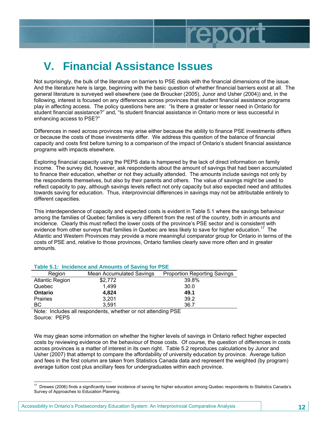

# **V. Financial Assistance Issues**

Not surprisingly, the bulk of the literature on barriers to PSE deals with the financial dimensions of the issue. And the literature here is large, beginning with the basic question of whether financial barriers exist at all. The general literature is surveyed well elsewhere (see de Broucker (2005), Junor and Usher (2004)) and, in the following, interest is focused on any differences across provinces that student financial assistance programs play in affecting access. The policy questions here are: "Is there a greater or lesser need in Ontario for student financial assistance?" and, "Is student financial assistance in Ontario more or less successful in enhancing access to PSE?"

Differences in need across provinces may arise either because the ability to finance PSE investments differs or because the costs of those investments differ. We address this question of the balance of financial capacity and costs first before turning to a comparison of the impact of Ontario's student financial assistance programs with impacts elsewhere.

Exploring financial capacity using the PEPS data is hampered by the lack of direct information on family income. The survey did, however, ask respondents about the amount of savings that had been accumulated to finance their education, whether or not they actually attended. The amounts include savings not only by the respondents themselves, but also by their parents and others. The value of savings might be used to reflect capacity to pay, although savings levels reflect not only capacity but also expected need and attitudes towards saving for education. Thus, interprovincial differences in savings may not be attributable entirely to different capacities.

This interdependence of capacity and expected costs is evident in Table 5.1 where the savings behaviour among the families of Quebec families is very different from the rest of the country, both in amounts and incidence. Clearly this must reflect the lower costs of the province's PSE sector and is consistent with evidence from other surveys that families in Quebec are less likely to save for higher education.<sup>17</sup> The Atlantic and Western Provinces may provide a more meaningful comparator group for Ontario in terms of the costs of PSE and, relative to those provinces, Ontario families clearly save more often and in greater amounts.

| <b>TANIC 0.1. INVIDIVITION AND AND AND ON OUTING TO THE</b> |                          |                                     |  |  |
|-------------------------------------------------------------|--------------------------|-------------------------------------|--|--|
| Region                                                      | Mean Accumulated Savings | <b>Proportion Reporting Savings</b> |  |  |
| <b>Atlantic Region</b>                                      | \$2,772                  | 39.8%                               |  |  |
| Quebec                                                      | 1.499                    | 30.0                                |  |  |
| <b>Ontario</b>                                              | 4,824                    | 49.1                                |  |  |
| Prairies                                                    | 3,201                    | 39.2                                |  |  |
| BC.                                                         | 3.591                    | 36.7                                |  |  |
|                                                             |                          |                                     |  |  |

### **Table 5.1: Incidence and Amounts of Saving for PSE**

Note: Includes all respondents, whether or not attending PSE Source: PEPS

We may glean some information on whether the higher levels of savings in Ontario reflect higher expected costs by reviewing evidence on the behaviour of those costs. Of course, the question of differences in costs across provinces is a matter of interest in its own right. Table 5.2 reproduces calculations by Junor and Usher (2007) that attempt to compare the affordability of university education by province. Average tuition and fees in the first column are taken from Statistics Canada data and represent the weighted (by program) average tuition cost plus ancillary fees for undergraduates within each province.

<sup>1</sup>  $17$  Drewes (2006) finds a significantly lower incidence of saving for higher education among Quebec respondents to Statistics Canada's Survey of Approaches to Education Planning.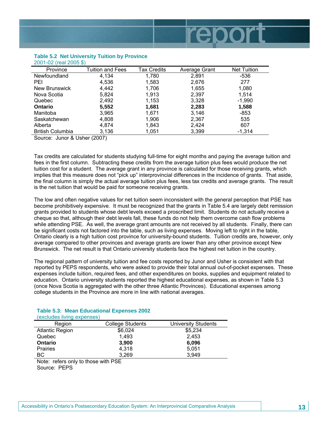

Source: Junor & Usher (2007)

Tax credits are calculated for students studying full-time for eight months and paying the average tuition and fees in the first column. Subtracting these credits from the average tuition plus fees would produce the net tuition cost for a student. The average grant in any province is calculated for those receiving grants, which implies that this measure does not "pick up" interprovincial differences in the incidence of grants. That aside, the final column is simply the actual average tuition plus fees, less tax credits and average grants. The result is the net tuition that would be paid for someone receiving grants.

The low and often negative values for net tuition seem inconsistent with the general perception that PSE has become prohibitively expensive. It must be recognized that the grants in Table 5.4 are largely debt remission grants provided to students whose debt levels exceed a proscribed limit. Students do not actually receive a cheque so that, although their debt levels fall, these funds do not help them overcome cash flow problems while attending PSE. As well, the average grant amounts are not received by all students. Finally, there can be significant costs not factored into the table, such as living expenses. Moving left to right in the table, Ontario clearly is a high tuition cost province for university-bound students. Tuition credits are, however, only average compared to other provinces and average grants are lower than any other province except New Brunswick. The net result is that Ontario university students face the highest net tuition in the country.

The regional pattern of university tuition and fee costs reported by Junor and Usher is consistent with that reported by PEPS respondents, who were asked to provide their total annual out-of-pocket expenses. These expenses include tuition, required fees, and other expenditures on books, supplies and equipment related to education. Ontario university students reported the highest educational expenses, as shown in Table 5.3 (once Nova Scotia is aggregated with the other three Atlantic Provinces). Educational expenses among college students in the Province are more in line with national averages.

| <u>(CYMINGS IIAIHA CYNCHOCS)</u>    |                         |                     |
|-------------------------------------|-------------------------|---------------------|
| Region                              | <b>College Students</b> | University Students |
| <b>Atlantic Region</b>              | \$6,024                 | \$5,234             |
| Quebec                              | 1.493                   | 2,453               |
| <b>Ontario</b>                      | 3,900                   | 6,096               |
| <b>Prairies</b>                     | 4.318                   | 5,051               |
| ВC                                  | 3.269                   | 3.949               |
| Note: refers only to those with PSE |                         |                     |
|                                     |                         |                     |

#### **Table 5.3: Mean Educational Expenses 2002**  (excludes living expenses)

Source: PEPS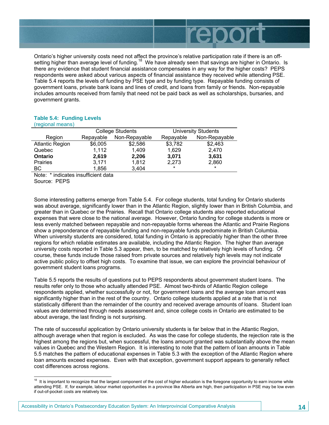

Ontario's higher university costs need not affect the province's relative participation rate if there is an offsetting higher than average level of funding.<sup>18</sup> We have already seen that savings are higher in Ontario. Is there any evidence that student financial assistance compensates in any way for the higher costs? PEPS respondents were asked about various aspects of financial assistance they received while attending PSE. Table 5.4 reports the levels of funding by PSE type and by funding type. Repayable funding consists of government loans, private bank loans and lines of credit, and loans from family or friends. Non-repayable includes amounts received from family that need not be paid back as well as scholarships, bursaries, and government grants.

#### **Table 5.4: Funding Levels**  (regional means)

| $\mu$ cyluliai liittailis j |                         |               |                            |               |
|-----------------------------|-------------------------|---------------|----------------------------|---------------|
|                             | <b>College Students</b> |               | <b>University Students</b> |               |
| Region                      | Repayable               | Non-Repayable | Repayable                  | Non-Repayable |
| <b>Atlantic Region</b>      | \$6,005                 | \$2,586       | \$3,782                    | \$2,463       |
| Quebec                      | 1,112                   | 1.409         | 1.629                      | 2,470         |
| <b>Ontario</b>              | 2.619                   | 2,206         | 3.071                      | 3,631         |
| <b>Prairies</b>             | 3,171                   | 1,812         | 2.273                      | 2,860         |
| BC.                         | 1,856                   | 3,404         | $\star$                    | $\star$       |

Note: \* indicates insufficient data Source: PEPS

Some interesting patterns emerge from Table 5.4. For college students, total funding for Ontario students was about average, significantly lower than in the Atlantic Region, slightly lower than in British Columbia, and greater than in Quebec or the Prairies. Recall that Ontario college students also reported educational expenses that were close to the national average. However, Ontario funding for college students is more or less evenly matched between repayable and non-repayable forms whereas the Atlantic and Prairie Regions show a preponderance of repayable funding and non-repayable funds predominate in British Columbia. When university students are considered, total funding in Ontario is appreciably higher than the other three regions for which reliable estimates are available, including the Atlantic Region. The higher than average university costs reported in Table 5.3 appear, then, to be matched by relatively high levels of funding. Of course, these funds include those raised from private sources and relatively high levels may not indicate active public policy to offset high costs. To examine that issue, we can explore the provincial behaviour of government student loans programs.

Table 5.5 reports the results of questions put to PEPS respondents about government student loans. The results refer only to those who actually attended PSE. Almost two-thirds of Atlantic Region college respondents applied, whether successfully or not, for government loans and the average loan amount was significantly higher than in the rest of the country. Ontario college students applied at a rate that is not statistically different than the remainder of the country and received average amounts of loans. Student loan values are determined through needs assessment and, since college costs in Ontario are estimated to be about average, the last finding is not surprising.

The rate of successful application by Ontario university students is far below that in the Atlantic Region, although average when that region is excluded. As was the case for college students, the rejection rate is the highest among the regions but, when successful, the loans amount granted was substantially above the mean values in Quebec and the Western Region. It is interesting to note that the pattern of loan amounts in Table 5.5 matches the pattern of educational expenses in Table 5.3 with the exception of the Atlantic Region where loan amounts exceed expenses. Even with that exception, government support appears to generally reflect cost differences across regions.

<sup>-</sup><sup>18</sup> It is important to recognize that the largest component of the cost of higher education is the foregone opportunity to earn income while attending PSE. If, for example, labour market opportunities in a province like Alberta are high, then participation in PSE may be low even if out-of-pocket costs are relatively low.

Accessibility in Ontario's Postsecondary Education System: An Interprovincial Comparative Analysis **14**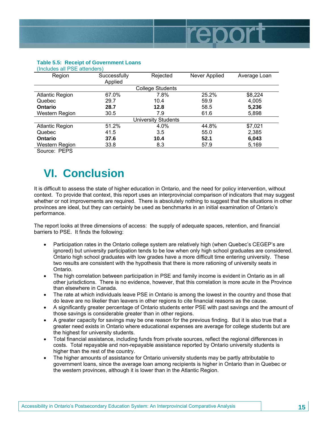

#### **Table 5.5: Receipt of Government Loans**  (Includes all PSE attenders)

| $\mu$ includes all $\mu$ of all $\sigma$ includes |                         |                         |               |              |
|---------------------------------------------------|-------------------------|-------------------------|---------------|--------------|
| Region                                            | Successfully<br>Applied | Rejected                | Never Applied | Average Loan |
|                                                   |                         | <b>College Students</b> |               |              |
| <b>Atlantic Region</b>                            | 67.0%                   | 7.8%                    | 25.2%         | \$8,224      |
| Quebec                                            | 29.7                    | 10.4                    | 59.9          | 4,005        |
| <b>Ontario</b>                                    | 28.7                    | 12.8                    | 58.5          | 5,236        |
| Western Region                                    | 30.5                    | 7.9                     | 61.6          | 5,898        |
|                                                   |                         | University Students     |               |              |
| <b>Atlantic Region</b>                            | 51.2%                   | 4.0%                    | 44.8%         | \$7,021      |
| Quebec                                            | 41.5                    | 3.5                     | 55.0          | 2,385        |
| <b>Ontario</b>                                    | 37.6                    | 10.4                    | 52.1          | 6,043        |
| Western Region                                    | 33.8                    | 8.3                     | 57.9          | 5,169        |
|                                                   |                         |                         |               |              |

Source: PEPS

# **VI. Conclusion**

It is difficult to assess the state of higher education in Ontario, and the need for policy intervention, without context. To provide that context, this report uses an interprovincial comparison of indicators that may suggest whether or not improvements are required. There is absolutely nothing to suggest that the situations in other provinces are ideal, but they can certainly be used as benchmarks in an initial examination of Ontario's performance.

The report looks at three dimensions of access: the supply of adequate spaces, retention, and financial barriers to PSE. It finds the following:

- Participation rates in the Ontario college system are relatively high (when Quebec's CEGEP's are ignored) but university participation tends to be low when only high school graduates are considered. Ontario high school graduates with low grades have a more difficult time entering university. These two results are consistent with the hypothesis that there is more rationing of university seats in Ontario.
- The high correlation between participation in PSE and family income is evident in Ontario as in all other jurisdictions. There is no evidence, however, that this correlation is more acute in the Province than elsewhere in Canada.
- The rate at which individuals leave PSE in Ontario is among the lowest in the country and those that do leave are no likelier than leavers in other regions to cite financial reasons as the cause.
- A significantly greater percentage of Ontario students enter PSE with past savings and the amount of those savings is considerable greater than in other regions.
- A greater capacity for savings may be one reason for the previous finding. But it is also true that a greater need exists in Ontario where educational expenses are average for college students but are the highest for university students.
- Total financial assistance, including funds from private sources, reflect the regional differences in costs. Total repayable and non-repayable assistance reported by Ontario university students is higher than the rest of the country.
- The higher amounts of assistance for Ontario university students may be partly attributable to government loans, since the average loan among recipients is higher in Ontario than in Quebec or the western provinces, although it is lower than in the Atlantic Region.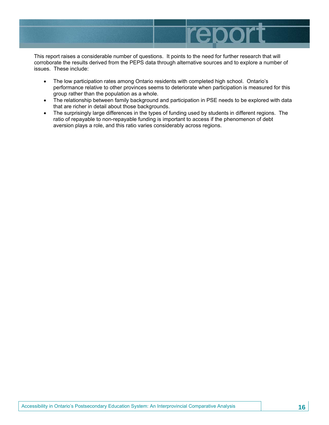

This report raises a considerable number of questions. It points to the need for further research that will corroborate the results derived from the PEPS data through alternative sources and to explore a number of issues. These include:

- The low participation rates among Ontario residents with completed high school. Ontario's performance relative to other provinces seems to deteriorate when participation is measured for this group rather than the population as a whole.
- The relationship between family background and participation in PSE needs to be explored with data that are richer in detail about those backgrounds.
- The surprisingly large differences in the types of funding used by students in different regions. The ratio of repayable to non-repayable funding is important to access if the phenomenon of debt aversion plays a role, and this ratio varies considerably across regions.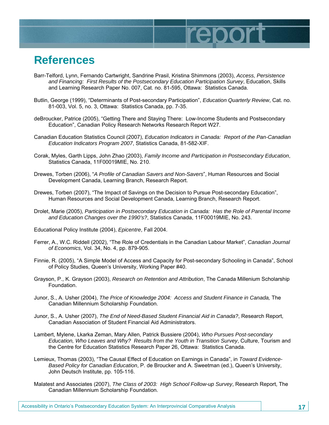## **References**

Barr-Telford, Lynn, Fernando Cartwright, Sandrine Prasil, Kristina Shimmons (2003), *Access, Persistence and Financing: First Results of the Postsecondary Education Participation Survey*, Education, Skills and Learning Research Paper No. 007, Cat. no. 81-595, Ottawa: Statistics Canada.

report

- Butlin, George (1999), "Determinants of Post-secondary Participation", *Education Quarterly Review*, Cat. no. 81-003, Vol. 5, no. 3, Ottawa: Statistics Canada, pp. 7-35.
- deBroucker, Patrice (2005), "Getting There and Staying There: Low-Income Students and Postsecondary Education", Canadian Policy Research Networks Research Report W27.
- Canadian Education Statistics Council (2007), *Education Indicators in Canada: Report of the Pan-Canadian Education Indicators Program 2007*, Statistics Canada, 81-582-XIF.
- Corak, Myles, Garth Lipps, John Zhao (2003), *Family Income and Participation in Postsecondary Education*, Statistics Canada, 11F00019MIE, No. 210.
- Drewes, Torben (2006), "*A Profile of Canadian Savers and Non-Savers*", Human Resources and Social Development Canada, Learning Branch, Research Report.
- Drewes, Torben (2007), "The Impact of Savings on the Decision to Pursue Post-secondary Education", Human Resources and Social Development Canada, Learning Branch, Research Report.
- Drolet, Marie (2005), *Participation in Postsecondary Education in Canada: Has the Role of Parental Income and Education Changes over the 1990's?*, Statistics Canada, 11F00019MIE, No. 243.
- Educational Policy Institute (2004), *Epicentre*, Fall 2004.
- Ferrer, A., W.C. Riddell (2002), "The Role of Credentials in the Canadian Labour Market", *Canadian Journal of Economics*, Vol. 34, No. 4, pp. 879-905.
- Finnie, R. (2005), "A Simple Model of Access and Capacity for Post-secondary Schooling in Canada", School of Policy Studies, Queen's University, Working Paper #40.
- Grayson, P., K. Grayson (2003), *Research on Retention and Attribution*, The Canada Millenium Scholarship Foundation.
- Junor, S., A. Usher (2004), *The Price of Knowledge 2004: Access and Student Finance in Canada,* The Canadian Millennium Scholarship Foundation.
- Junor, S., A. Usher (2007), *The End of Need-Based Student Financial Aid in Canada?*, Research Report, Canadian Association of Student Financial Aid Administrators.
- Lambert, Mylene, Lkarka Zeman, Mary Allen, Patrick Bussiere (2004), *Who Pursues Post-secondary Education, Who Leaves and Why? Results from the Youth in Transition Survey*, Culture, Tourism and the Centre for Education Statistics Research Paper 26, Ottawa: Statistics Canada.
- Lemieux, Thomas (2003), "The Causal Effect of Education on Earnings in Canada", in *Toward Evidence-Based Policy for Canadian Education*, P. de Broucker and A. Sweetman (ed.), Queen's University, John Deutsch Institute, pp. 105-116.
- Malatest and Associates (2007), *The Class of 2003: High School Follow-up Survey*, Research Report, The Canadian Millennium Scholarship Foundation.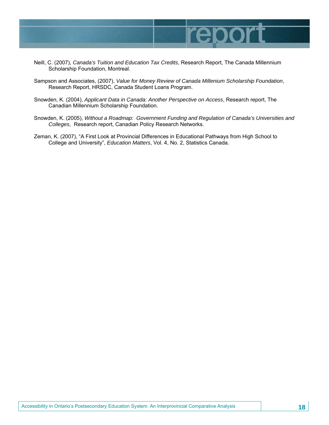

- Neill, C. (2007), *Canada's Tuition and Education Tax Credits*, Research Report, The Canada Millennium Scholarship Foundation, Montreal.
- Sampson and Associates, (2007), *Value for Money Review of Canada Millenium Scholarship Foundation*, Research Report, HRSDC, Canada Student Loans Program.
- Snowden, K. (2004), *Applicant Data in Canada: Another Perspective on Access*, Research report, The Canadian Millennium Scholarship Foundation.
- Snowden, K. (2005), *Without a Roadmap: Government Funding and Regulation of Canada's Universities and Colleges*, Research report, Canadian Policy Research Networks.
- Zeman, K. (2007), "A First Look at Provincial Differences in Educational Pathways from High School to College and University", *Education Matters*, Vol. 4, No. 2, Statistics Canada.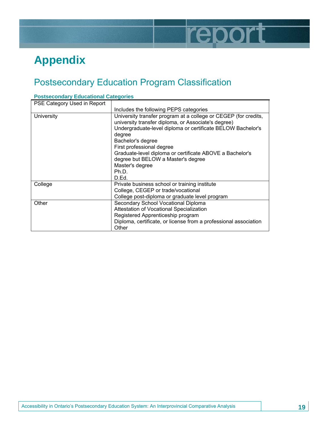

# **Appendix**

### Postsecondary Education Program Classification

| PSE Category Used in Report |                                                                                                                                                                                                                                                                                                                                                                                          |
|-----------------------------|------------------------------------------------------------------------------------------------------------------------------------------------------------------------------------------------------------------------------------------------------------------------------------------------------------------------------------------------------------------------------------------|
|                             | Includes the following PEPS categories                                                                                                                                                                                                                                                                                                                                                   |
| University                  | University transfer program at a college or CEGEP (for credits,<br>university transfer diploma, or Associate's degree)<br>Undergraduate-level diploma or certificate BELOW Bachelor's<br>degree<br>Bachelor's degree<br>First professional degree<br>Graduate-level diploma or certificate ABOVE a Bachelor's<br>degree but BELOW a Master's degree<br>Master's degree<br>Ph.D.<br>D.Ed. |
| College                     | Private business school or training institute<br>College, CEGEP or trade/vocational<br>College post-diploma or graduate level program                                                                                                                                                                                                                                                    |
| Other                       | Secondary School Vocational Diploma<br>Attestation of Vocational Specialization<br>Registered Apprenticeship program<br>Diploma, certificate, or license from a professional association<br>Other                                                                                                                                                                                        |

### **Postsecondary Educational Categories**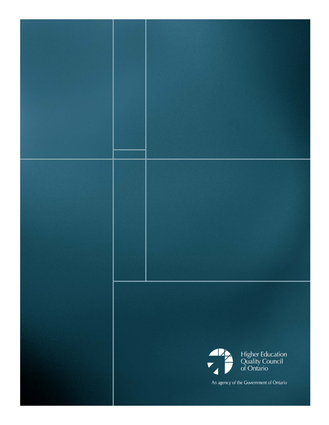